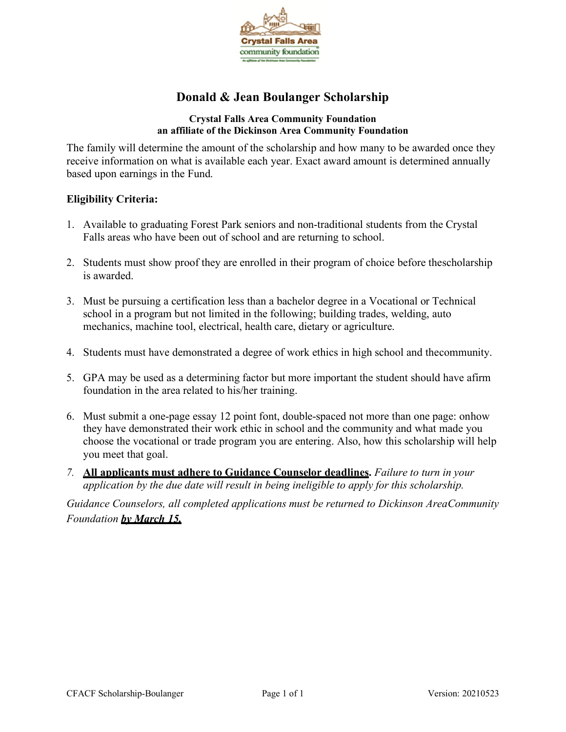

# **Donald & Jean Boulanger Scholarship**

#### **Crystal Falls Area Community Foundation an affiliate of the Dickinson Area Community Foundation**

The family will determine the amount of the scholarship and how many to be awarded once they receive information on what is available each year. Exact award amount is determined annually based upon earnings in the Fund.

### **Eligibility Criteria:**

- 1. Available to graduating Forest Park seniors and non-traditional students from the Crystal Falls areas who have been out of school and are returning to school.
- 2. Students must show proof they are enrolled in their program of choice before thescholarship is awarded.
- 3. Must be pursuing a certification less than a bachelor degree in a Vocational or Technical school in a program but not limited in the following; building trades, welding, auto mechanics, machine tool, electrical, health care, dietary or agriculture.
- 4. Students must have demonstrated a degree of work ethics in high school and thecommunity.
- 5. GPA may be used as a determining factor but more important the student should have afirm foundation in the area related to his/her training.
- 6. Must submit a one-page essay 12 point font, double-spaced not more than one page: onhow they have demonstrated their work ethic in school and the community and what made you choose the vocational or trade program you are entering. Also, how this scholarship will help you meet that goal.
- *7.* **All applicants must adhere to Guidance Counselor deadlines.** *Failure to turn in your application by the due date will result in being ineligible to apply for this scholarship.*

*Guidance Counselors, all completed applications must be returned to Dickinson AreaCommunity Foundation by March 15.*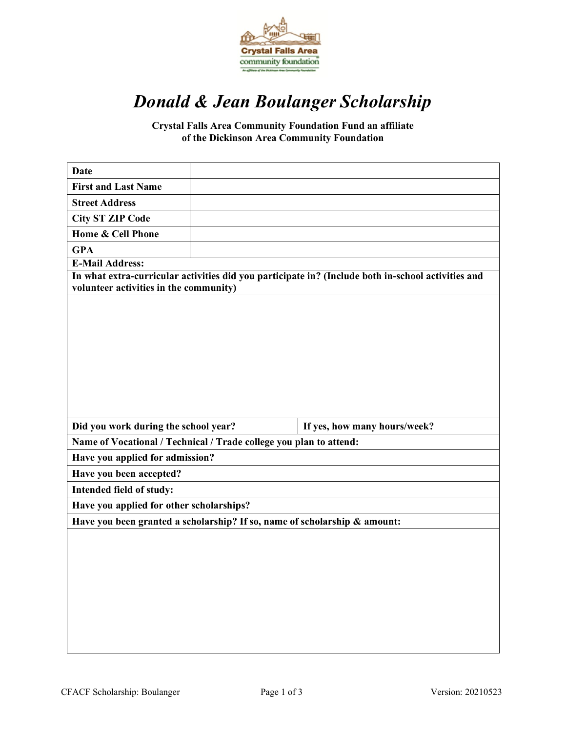

# *Donald & Jean Boulanger Scholarship*

**Crystal Falls Area Community Foundation Fund an affiliate of the Dickinson Area Community Foundation**

| <b>Date</b>                                                                                                                                  |  |                              |  |
|----------------------------------------------------------------------------------------------------------------------------------------------|--|------------------------------|--|
| <b>First and Last Name</b>                                                                                                                   |  |                              |  |
| <b>Street Address</b>                                                                                                                        |  |                              |  |
| <b>City ST ZIP Code</b>                                                                                                                      |  |                              |  |
| Home & Cell Phone                                                                                                                            |  |                              |  |
| <b>GPA</b>                                                                                                                                   |  |                              |  |
| <b>E-Mail Address:</b>                                                                                                                       |  |                              |  |
| In what extra-curricular activities did you participate in? (Include both in-school activities and<br>volunteer activities in the community) |  |                              |  |
|                                                                                                                                              |  |                              |  |
| Did you work during the school year?                                                                                                         |  | If yes, how many hours/week? |  |
| Name of Vocational / Technical / Trade college you plan to attend:                                                                           |  |                              |  |
| Have you applied for admission?                                                                                                              |  |                              |  |
| Have you been accepted?                                                                                                                      |  |                              |  |
| Intended field of study:                                                                                                                     |  |                              |  |
| Have you applied for other scholarships?                                                                                                     |  |                              |  |
| Have you been granted a scholarship? If so, name of scholarship & amount:                                                                    |  |                              |  |
|                                                                                                                                              |  |                              |  |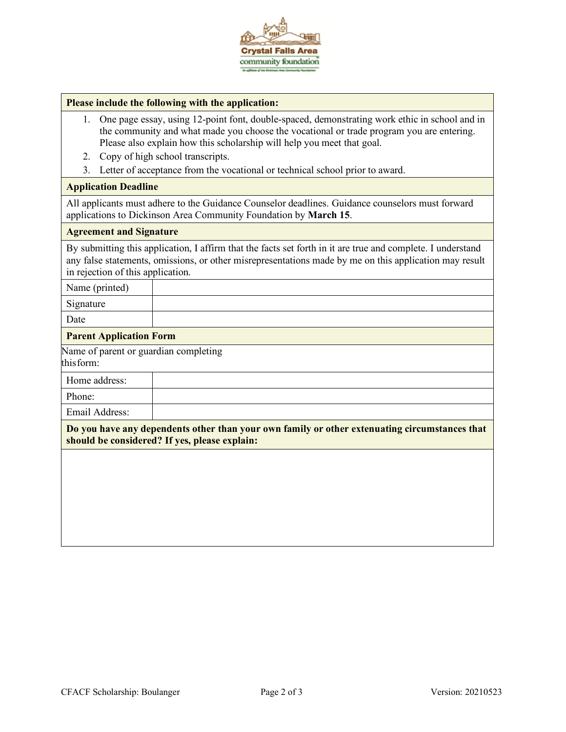

#### **Please include the following with the application:**

- 1. One page essay, using 12-point font, double-spaced, demonstrating work ethic in school and in the community and what made you choose the vocational or trade program you are entering. Please also explain how this scholarship will help you meet that goal.
- 2. Copy of high school transcripts.
- 3. Letter of acceptance from the vocational or technical school prior to award.

#### **Application Deadline**

All applicants must adhere to the Guidance Counselor deadlines. Guidance counselors must forward applications to Dickinson Area Community Foundation by **March 15**.

#### **Agreement and Signature**

By submitting this application, I affirm that the facts set forth in it are true and complete. I understand any false statements, omissions, or other misrepresentations made by me on this application may result in rejection of this application.

Name (printed)

Signature

Date

#### **Parent Application Form**

Name of parent or guardian completing

this form:

Home address:

Phone:

Email Address:

**Do you have any dependents other than your own family or other extenuating circumstances that should be considered? If yes, please explain:**